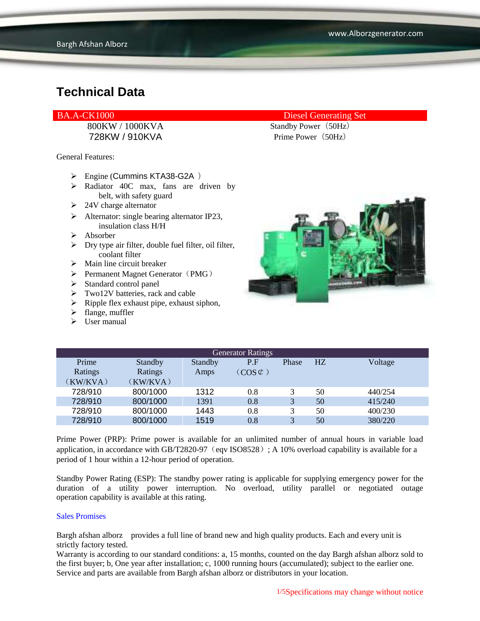728KW / 910KVA Prime Power(50Hz)

General Features:

- Engine (Cummins KTA38-G2A )
- $\triangleright$  Radiator 40C max, fans are driven by belt, with safety guard
- $\geq$  24V charge alternator
- $\triangleright$  Alternator: single bearing alternator IP23, insulation class H/H
- $\triangleright$  Absorber
- $\triangleright$  Dry type air filter, double fuel filter, oil filter, coolant filter
- $\triangleright$  Main line circuit breaker
- $\triangleright$  Permanent Magnet Generator (PMG)
- > Standard control panel
- Two12V batteries, rack and cable
- $\triangleright$  Ripple flex exhaust pipe, exhaust siphon,
- $\triangleright$  flange, muffler
- $\triangleright$  User manual

#### BA.A-CK1000 Diesel Generating Set

800KW / 1000KVA Standby Power (50Hz)



| <b>Generator Ratings</b> |          |         |                     |              |    |         |
|--------------------------|----------|---------|---------------------|--------------|----|---------|
| Prime                    | Standby  | Standby | P.F                 | Phase        | HZ | Voltage |
| Ratings                  | Ratings  | Amps    | $(COS \mathcal{L})$ |              |    |         |
| (KW/KVA)                 | (KW/KVA) |         |                     |              |    |         |
| 728/910                  | 800/1000 | 1312    | 0.8                 | 3            | 50 | 440/254 |
| 728/910                  | 800/1000 | 1391    | 0.8                 | 3            | 50 | 415/240 |
| 728/910                  | 800/1000 | 1443    | 0.8                 | 3            | 50 | 400/230 |
| 728/910                  | 800/1000 | 1519    | 0.8                 | $\mathbf{R}$ | 50 | 380/220 |

Prime Power (PRP): Prime power is available for an unlimited number of annual hours in variable load application, in accordance with GB/T2820-97 (eqv ISO8528); A 10% overload capability is available for a period of 1 hour within a 12-hour period of operation.

Standby Power Rating (ESP): The standby power rating is applicable for supplying emergency power for the duration of a utility power interruption. No overload, utility parallel or negotiated outage operation capability is available at this rating.

#### Sales Promises

Bargh afshan alborz provides a full line of brand new and high quality products. Each and every unit is strictly factory tested.

Warranty is according to our standard conditions: a, 15 months, counted on the day Bargh afshan alborz sold to the first buyer; b, One year after installation; c, 1000 running hours (accumulated); subject to the earlier one. Service and parts are available from Bargh afshan alborz or distributors in your location.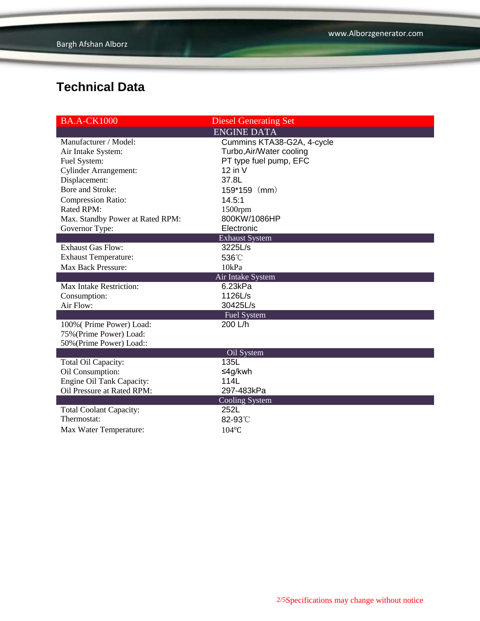| <b>BA.A-CK1000</b>               | <b>Diesel Generating Set</b> |  |  |
|----------------------------------|------------------------------|--|--|
|                                  | <b>ENGINE DATA</b>           |  |  |
| Manufacturer / Model:            | Cummins KTA38-G2A, 4-cycle   |  |  |
| Air Intake System:               | Turbo, Air/Water cooling     |  |  |
| Fuel System:                     | PT type fuel pump, EFC       |  |  |
| <b>Cylinder Arrangement:</b>     | $12$ in V                    |  |  |
| Displacement:                    | 37.8L                        |  |  |
| Bore and Stroke:                 | 159*159 (mm)                 |  |  |
| <b>Compression Ratio:</b>        | 14.5:1                       |  |  |
| <b>Rated RPM:</b>                | 1500rpm                      |  |  |
| Max. Standby Power at Rated RPM: | 800KW/1086HP                 |  |  |
| Governor Type:                   | Electronic                   |  |  |
|                                  | <b>Exhaust System</b>        |  |  |
| <b>Exhaust Gas Flow:</b>         | 3225L/s                      |  |  |
| <b>Exhaust Temperature:</b>      | 536°C                        |  |  |
| Max Back Pressure:               | 10kPa                        |  |  |
|                                  | <b>Air Intake System</b>     |  |  |
| <b>Max Intake Restriction:</b>   | 6.23kPa                      |  |  |
| Consumption:                     | 1126L/s                      |  |  |
| Air Flow:                        | 30425L/s                     |  |  |
|                                  | <b>Fuel System</b>           |  |  |
| 100% (Prime Power) Load:         | 200 L/h                      |  |  |
| 75% (Prime Power) Load:          |                              |  |  |
| 50% (Prime Power) Load::         |                              |  |  |
|                                  | Oil System                   |  |  |
| Total Oil Capacity:              | 135L                         |  |  |
| Oil Consumption:                 | ≤4g/kwh                      |  |  |
| Engine Oil Tank Capacity:        | 114L                         |  |  |
| Oil Pressure at Rated RPM:       | 297-483kPa                   |  |  |
|                                  | <b>Cooling System</b>        |  |  |
| <b>Total Coolant Capacity:</b>   | 252L                         |  |  |
| Thermostat:                      | 82-93°C                      |  |  |
| Max Water Temperature:           | $104$ °C                     |  |  |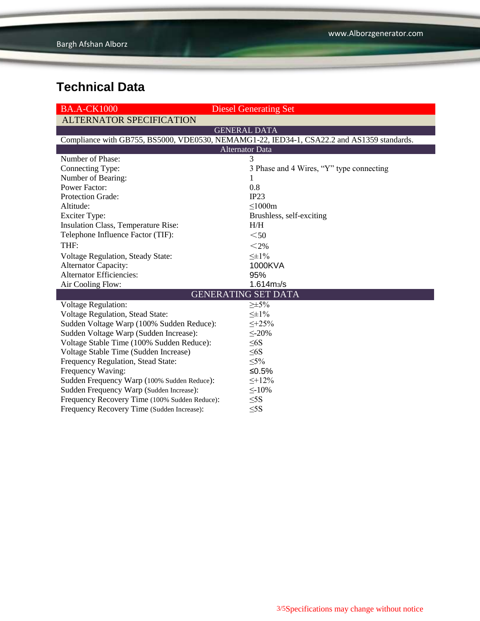| <b>BA.A-CK1000</b>                            | <b>Diesel Generating Set</b>                                                               |
|-----------------------------------------------|--------------------------------------------------------------------------------------------|
| <b>ALTERNATOR SPECIFICATION</b>               |                                                                                            |
|                                               | <b>GENERAL DATA</b>                                                                        |
|                                               | Compliance with GB755, BS5000, VDE0530, NEMAMG1-22, IED34-1, CSA22.2 and AS1359 standards. |
|                                               | <b>Alternator Data</b>                                                                     |
| Number of Phase:                              | 3                                                                                          |
| Connecting Type:                              | 3 Phase and 4 Wires, "Y" type connecting                                                   |
| Number of Bearing:                            |                                                                                            |
| <b>Power Factor:</b>                          | 0.8                                                                                        |
| Protection Grade:                             | IP23                                                                                       |
| Altitude:                                     | $\leq$ 1000m                                                                               |
| <b>Exciter Type:</b>                          | Brushless, self-exciting                                                                   |
| Insulation Class, Temperature Rise:           | H/H                                                                                        |
| Telephone Influence Factor (TIF):             | $50$                                                                                       |
| THF:                                          | $<$ 2%                                                                                     |
| Voltage Regulation, Steady State:             | $\leq \pm 1\%$                                                                             |
| <b>Alternator Capacity:</b>                   | 1000KVA                                                                                    |
| <b>Alternator Efficiencies:</b>               | 95%                                                                                        |
| Air Cooling Flow:                             | $1.614 \text{m}$ <sub>3</sub> /s                                                           |
|                                               | <b>GENERATING SET DATA</b>                                                                 |
| <b>Voltage Regulation:</b>                    | $\geq \pm 5\%$                                                                             |
| <b>Voltage Regulation, Stead State:</b>       | $\leq \pm 1\%$                                                                             |
| Sudden Voltage Warp (100% Sudden Reduce):     | $\leq +25\%$                                                                               |
| Sudden Voltage Warp (Sudden Increase):        | $\leq 20\%$                                                                                |
| Voltage Stable Time (100% Sudden Reduce):     | $\leq 6S$                                                                                  |
| Voltage Stable Time (Sudden Increase)         | $\leq 6S$                                                                                  |
| Frequency Regulation, Stead State:            | $\leq 5\%$                                                                                 |
| Frequency Waving:                             | $≤0.5%$                                                                                    |
| Sudden Frequency Warp (100% Sudden Reduce):   | $\leq$ +12%                                                                                |
| Sudden Frequency Warp (Sudden Increase):      | $\leq$ -10%                                                                                |
| Frequency Recovery Time (100% Sudden Reduce): | $\leq$ 5S                                                                                  |
| Frequency Recovery Time (Sudden Increase):    | $\leq$ 5S                                                                                  |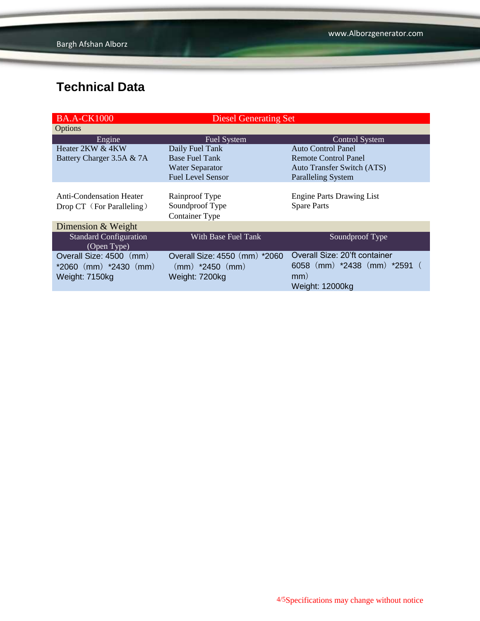| <b>BA.A-CK1000</b>                                                     | <b>Diesel Generating Set</b>                                           |                                                                                                    |
|------------------------------------------------------------------------|------------------------------------------------------------------------|----------------------------------------------------------------------------------------------------|
| Options                                                                |                                                                        |                                                                                                    |
| Engine                                                                 | <b>Fuel System</b>                                                     | <b>Control System</b>                                                                              |
| Heater 2KW & 4KW                                                       | Daily Fuel Tank                                                        | <b>Auto Control Panel</b>                                                                          |
| Battery Charger 3.5A & 7A                                              | <b>Base Fuel Tank</b>                                                  | <b>Remote Control Panel</b>                                                                        |
|                                                                        | <b>Water Separator</b>                                                 | <b>Auto Transfer Switch (ATS)</b>                                                                  |
|                                                                        | <b>Fuel Level Sensor</b>                                               | <b>Paralleling System</b>                                                                          |
| <b>Anti-Condensation Heater</b><br>Drop CT (For Paralleling)           | Rainproof Type<br>Soundproof Type<br>Container Type                    | <b>Engine Parts Drawing List</b><br><b>Spare Parts</b>                                             |
| Dimension & Weight                                                     |                                                                        |                                                                                                    |
| <b>Standard Configuration</b><br>(Open Type)                           | With Base Fuel Tank                                                    | Soundproof Type                                                                                    |
| Overall Size: 4500 (mm)<br>$*2060$ (mm) $*2430$ (mm)<br>Weight: 7150kg | Overall Size: 4550 (mm) *2060<br>$(mm)$ *2450 $(mm)$<br>Weight: 7200kg | Overall Size: 20'ft container<br>6058 (mm) $*2438$ (mm) $*2591$ (<br>mm)<br><b>Weight: 12000kg</b> |